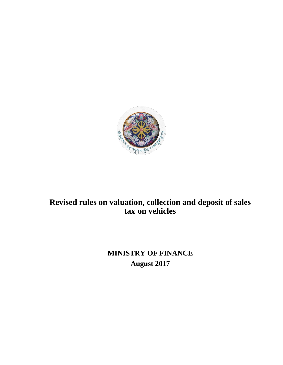

# **Revised rules on valuation, collection and deposit of sales tax on vehicles**

**MINISTRY OF FINANCE August 2017**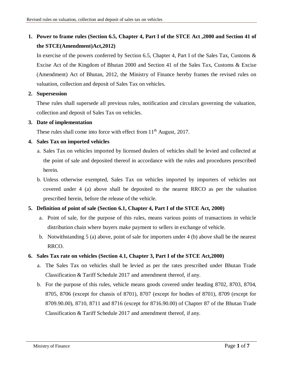## **1. Power to frame rules (Section 6.5, Chapter 4, Part I of the STCE Act ,2000 and Section 41 of the STCE(Amendment)Act,2012)**

In exercise of the powers conferred by Section 6.5, Chapter 4, Part I of the Sales Tax, Customs & Excise Act of the Kingdom of Bhutan 2000 and Section 41 of the Sales Tax, Customs & Excise (Amendment) Act of Bhutan, 2012, the Ministry of Finance hereby frames the revised rules on valuation, collection and deposit of Sales Tax on vehicles.

## **2. Supersession**

These rules shall supersede all previous rules, notification and circulars governing the valuation, collection and deposit of Sales Tax on vehicles.

## **3. Date of implementation**

These rules shall come into force with effect from  $11<sup>th</sup>$  August, 2017.

## **4. Sales Tax on imported vehicles**

- a. Sales Tax on vehicles imported by licensed dealers of vehicles shall be levied and collected at the point of sale and deposited thereof in accordance with the rules and procedures prescribed herein.
- b. Unless otherwise exempted, Sales Tax on vehicles imported by importers of vehicles not covered under 4 (a) above shall be deposited to the nearest RRCO as per the valuation prescribed herein, before the release of the vehicle.

## **5. Definition of point of sale (Section 6.1, Chapter 4, Part I of the STCE Act, 2000)**

- a. Point of sale, for the purpose of this rules, means various points of transactions in vehicle distribution chain where buyers make payment to sellers in exchange of vehicle.
- b. Notwithstanding 5 (a) above, point of sale for importers under 4 (b) above shall be the nearest RRCO.

## **6. Sales Tax rate on vehicles (Section 4.1, Chapter 3, Part I of the STCE Act,2000)**

- a. The Sales Tax on vehicles shall be levied as per the rates prescribed under Bhutan Trade Classification & Tariff Schedule 2017 and amendment thereof, if any.
- b. For the purpose of this rules, vehicle means goods covered under heading 8702, 8703, 8704, 8705, 8706 (except for chassis of 8701), 8707 (except for bodies of 8701), 8709 (except for 8709.90.00), 8710, 8711 and 8716 (except for 8716.90.00) of Chapter 87 of the Bhutan Trade Classification & Tariff Schedule 2017 and amendment thereof, if any.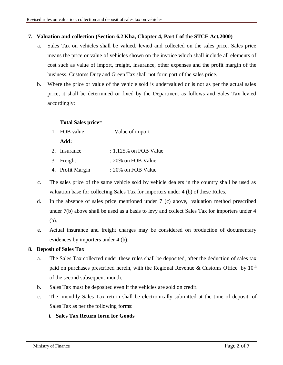## **7. Valuation and collection (Section 6.2 Kha, Chapter 4, Part I of the STCE Act,2000)**

- a. Sales Tax on vehicles shall be valued, levied and collected on the sales price. Sales price means the price or value of vehicles shown on the invoice which shall include all elements of cost such as value of import, freight, insurance, other expenses and the profit margin of the business. Customs Duty and Green Tax shall not form part of the sales price.
- b. Where the price or value of the vehicle sold is undervalued or is not as per the actual sales price, it shall be determined or fixed by the Department as follows and Sales Tax levied accordingly:

#### **Total Sales price=**

1. FOB value  $=$  Value of import

#### **Add:**

- 2. Insurance : 1.125% on FOB Value
- 3. Freight : 20% on FOB Value
- 4. Profit Margin : 20% on FOB Value
- c. The sales price of the same vehicle sold by vehicle dealers in the country shall be used as valuation base for collecting Sales Tax for importers under 4 (b) of these Rules.
- d. In the absence of sales price mentioned under 7 (c) above, valuation method prescribed under 7(b) above shall be used as a basis to levy and collect Sales Tax for importers under 4 (b).
- e. Actual insurance and freight charges may be considered on production of documentary evidences by importers under 4 (b).

## **8. Deposit of Sales Tax**

- a. The Sales Tax collected under these rules shall be deposited, after the deduction of sales tax paid on purchases prescribed herein, with the Regional Revenue & Customs Office by  $10^{th}$ of the second subsequent month.
- b. Sales Tax must be deposited even if the vehicles are sold on credit.
- c. The monthly Sales Tax return shall be electronically submitted at the time of deposit of Sales Tax as per the following forms:
	- **i. Sales Tax Return form for Goods**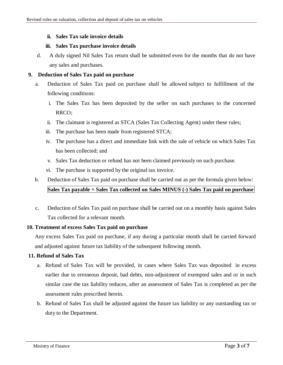#### **ii. Sales Tax sale invoice details**

#### **iii. Sales Tax purchase invoice details**

d. A duly signed Nil Sales Tax return shall be submitted even for the months that do not have any sales and purchases.

## **9. Deduction of Sales Tax paid on purchase**

- a. Deduction of Sales Tax paid on purchase shall be allowed subject to fulfillment of the following conditions:
	- i. The Sales Tax has been deposited by the seller on such purchases to the concerned RRCO;
	- ii. The claimant is registered as STCA (Sales Tax Collecting Agent) under these rules;
	- iii. The purchase has been made from registered STCA;
	- iv. The purchase has a direct and immediate link with the sale of vehicle on which Sales Tax has been collected; and
	- v. Sales Tax deduction or refund has not been claimed previously on such purchase.
	- vi. The purchase is supported by the original tax invoice.

## b. Deduction of Sales Tax paid on purchase shall be carried out as per the formula given below: **Sales Tax payable = Sales Tax collected on Sales MINUS (-) Sales Tax paid on purchase**

c. Deduction of Sales Tax paid on purchase shall be carried out on a monthly basis against Sales Tax collected for a relevant month.

## **10. Treatment of excess Sales Tax paid on purchase**

Any excess Sales Tax paid on purchase, if any during a particular month shall be carried forward and adjusted against future tax liability of the subsequent following month.

## **11. Refund of Sales Tax**

- a. Refund of Sales Tax will be provided, in cases where Sales Tax was deposited in excess earlier due to erroneous deposit, bad debts, non-adjustment of exempted sales and or in such similar case the tax liability reduces, after an assessment of Sales Tax is completed as per the assessment rules prescribed herein.
- b. Refund of Sales Tax shall be adjusted against the future tax liability or any outstanding tax or duty to the Department.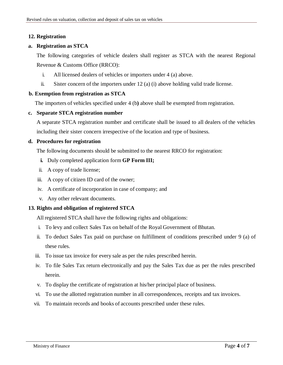## **12. Registration**

#### **a. Registration as STCA**

The following categories of vehicle dealers shall register as STCA with the nearest Regional Revenue & Customs Office (RRCO):

- i. All licensed dealers of vehicles or importers under 4 (a) above.
- ii. Sister concern of the importers under 12 (a) (i) above holding valid trade license.

#### **b. Exemption from registration as STCA**

The importers of vehicles specified under 4 (b**)** above shall be exempted from registration.

#### **c. Separate STCA registration number**

A separate STCA registration number and certificate shall be issued to all dealers of the vehicles including their sister concern irrespective of the location and type of business.

#### **d. Procedures for registration**

The following documents should be submitted to the nearest RRCO for registration:

- **i.** Duly completed application form **GP Form III;**
- ii. A copy of trade license;
- iii. A copy of citizen ID card of the owner;
- iv. A certificate of incorporation in case of company; and
- v. Any other relevant documents.

## **13. Rights and obligation of registered STCA**

All registered STCA shall have the following rights and obligations:

- i. To levy and collect Sales Tax on behalf of the Royal Government of Bhutan.
- ii. To deduct Sales Tax paid on purchase on fulfillment of conditions prescribed under 9 (a) of these rules.
- iii. To issue tax invoice for every sale as per the rules prescribed herein.
- iv. To file Sales Tax return electronically and pay the Sales Tax due as per the rules prescribed herein.
- v. To display the certificate of registration at his/her principal place of business.
- vi. To use the allotted registration number in all correspondences, receipts and tax invoices.
- vii. To maintain records and books of accounts prescribed under these rules.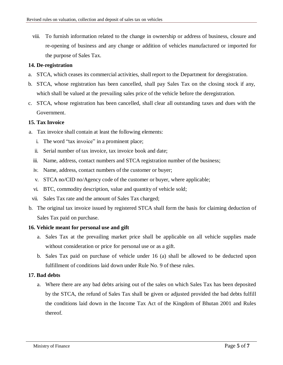viii. To furnish information related to the change in ownership or address of business, closure and re-opening of business and any change or addition of vehicles manufactured or imported for the purpose of Sales Tax.

## **14. De-registration**

- a. STCA, which ceases its commercial activities, shall report to the Department for deregistration.
- b. STCA, whose registration has been cancelled, shall pay Sales Tax on the closing stock if any, which shall be valued at the prevailing sales price of the vehicle before the deregistration.
- c. STCA, whose registration has been cancelled, shall clear all outstanding taxes and dues with the Government.

#### **15. Tax Invoice**

- a. Tax invoice shall contain at least the following elements:
	- i. The word "tax invoice" in a prominent place;
	- ii. Serial number of tax invoice, tax invoice book and date;
	- iii. Name, address, contact numbers and STCA registration number of the business;
	- iv. Name, address, contact numbers of the customer or buyer;
	- v. STCA no/CID no/Agency code of the customer or buyer, where applicable;
	- vi. BTC, commodity description, value and quantity of vehicle sold;
	- vii. Sales Tax rate and the amount of Sales Tax charged;
- b. The original tax invoice issued by registered STCA shall form the basis for claiming deduction of Sales Tax paid on purchase.

#### **16. Vehicle meant for personal use and gift**

- a. Sales Tax at the prevailing market price shall be applicable on all vehicle supplies made without consideration or price for personal use or as a gift.
- b. Sales Tax paid on purchase of vehicle under 16 (a) shall be allowed to be deducted upon fulfillment of conditions laid down under Rule No. 9 of these rules.

## **17. Bad debts**

a. Where there are any bad debts arising out of the sales on which Sales Tax has been deposited by the STCA, the refund of Sales Tax shall be given or adjusted provided the bad debts fulfill the conditions laid down in the Income Tax Act of the Kingdom of Bhutan 2001 and Rules thereof.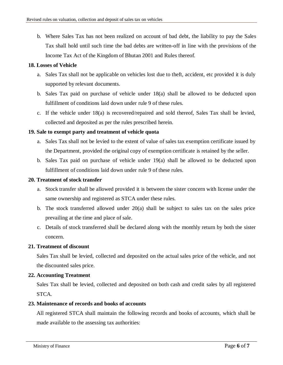b. Where Sales Tax has not been realized on account of bad debt, the liability to pay the Sales Tax shall hold until such time the bad debts are written-off in line with the provisions of the Income Tax Act of the Kingdom of Bhutan 2001 and Rules thereof.

## **18. Losses of Vehicle**

- a. Sales Tax shall not be applicable on vehicles lost due to theft, accident, etc provided it is duly supported by relevant documents.
- b. Sales Tax paid on purchase of vehicle under 18(a) shall be allowed to be deducted upon fulfillment of conditions laid down under rule 9 of these rules.
- c. If the vehicle under 18(a) is recovered/repaired and sold thereof, Sales Tax shall be levied, collected and deposited as per the rules prescribed herein.

#### **19. Sale to exempt party and treatment of vehicle quota**

- a. Sales Tax shall not be levied to the extent of value of sales tax exemption certificate issued by the Department, provided the original copy of exemption certificate is retained by the seller.
- b. Sales Tax paid on purchase of vehicle under 19(a) shall be allowed to be deducted upon fulfillment of conditions laid down under rule 9 of these rules.

#### **20. Treatment of stock transfer**

- a. Stock transfer shall be allowed provided it is between the sister concern with license under the same ownership and registered as STCA under these rules.
- b. The stock transferred allowed under 20(a) shall be subject to sales tax on the sales price prevailing at the time and place of sale.
- c. Details of stock transferred shall be declared along with the monthly return by both the sister concern.

## **21. Treatment of discount**

Sales Tax shall be levied, collected and deposited on the actual sales price of the vehicle, and not the discounted sales price.

## **22. Accounting Treatment**

Sales Tax shall be levied, collected and deposited on both cash and credit sales by all registered STCA.

#### **23. Maintenance of records and books of accounts**

All registered STCA shall maintain the following records and books of accounts, which shall be made available to the assessing tax authorities: